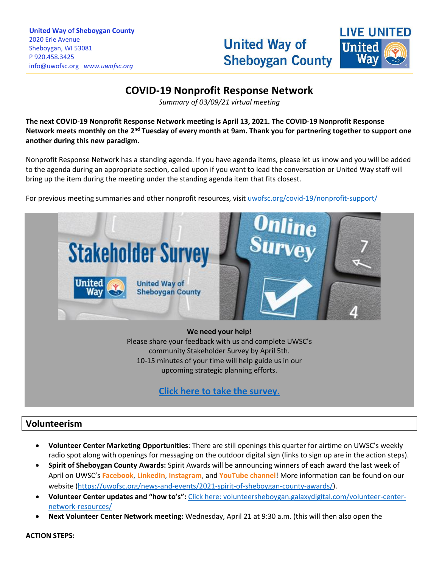# **United Way of Sheboygan County**



# **COVID-19 Nonprofit Response Network**

\_\_\_\_\_\_\_\_\_\_\_\_\_\_\_\_\_\_\_\_\_\_\_\_\_\_\_\_\_\_\_\_\_\_\_\_\_\_\_\_\_\_\_\_\_\_\_\_\_\_\_\_\_\_\_\_\_\_\_\_\_\_\_\_\_\_\_\_\_\_\_\_\_\_\_\_\_\_\_\_\_\_\_\_\_\_\_\_\_\_\_\_\_\_\_\_\_\_\_\_\_\_\_\_\_\_\_\_\_\_\_\_\_\_\_\_\_\_\_\_\_\_\_\_\_\_\_\_\_\_\_\_\_\_\_\_\_\_\_\_\_\_\_\_\_\_\_\_\_\_\_\_\_\_\_\_\_\_\_\_\_\_\_\_\_\_\_\_\_\_\_\_\_\_\_\_\_\_\_\_\_\_\_\_\_\_\_\_\_\_\_\_\_\_\_\_\_\_\_\_\_\_\_\_\_\_\_\_\_\_\_\_\_\_\_\_\_\_\_\_\_\_\_\_\_\_\_\_\_\_\_\_\_\_\_\_\_\_\_\_\_\_\_\_\_\_\_\_\_\_\_\_\_\_\_\_\_\_\_\_\_\_\_\_\_\_\_\_\_\_\_

*Summary of 03/09/21 virtual meeting*

**The next COVID-19 Nonprofit Response Network meeting is April 13, 2021. The COVID-19 Nonprofit Response**  Network meets monthly on the 2<sup>nd</sup> Tuesday of every month at 9am. Thank you for partnering together to support one **another during this new paradigm.**

Nonprofit Response Network has a standing agenda. If you have agenda items, please let us know and you will be added to the agenda during an appropriate section, called upon if you want to lead the conversation or United Way staff will bring up the item during the meeting under the standing agenda item that fits closest.

For previous meeting summaries and other nonprofit resources, visit [uwofsc.org/covid-19/nonprofit-support/](http://www.uwofsc.org/covid-19/nonprofit-support/)



**We need your help!**

Please share your feedback with us and complete UWSC's community Stakeholder Survey by April 5th. 10-15 minutes of your time will help guide us in our upcoming strategic planning efforts.

## **[Click here to take the survey.](https://www.surveymonkey.com/r/2021UWSCSurvey)**

## **Volunteerism**

- **Volunteer Center Marketing Opportunities**: There are still openings this quarter for airtime on UWSC's weekly radio spot along with openings for messaging on the outdoor digital sign (links to sign up are in the action steps).
- **Spirit of Sheboygan County Awards:** Spirit Awards will be announcing winners of each award the last week of April on UWSC's **[Facebook](https://www.facebook.com/unitedwaysheboygancounty)**, **[LinkedIn](https://www.linkedin.com/company/uwsc)**, **[Instagram](http://www.instagram.com/unitedwaysheboygancounty)**, and **[YouTube channel](https://www.youtube.com/channel/UCMSUzHJ5BWpyDyOsj4Z8uow)**! More information can be found on our website [\(https://uwofsc.org/news-and-events/2021-spirit-of-sheboygan-county-awards/\)](https://uwofsc.org/news-and-events/2021-spirit-of-sheboygan-county-awards/).
- **Volunteer Center updates and "how to's":** [Click here: volunteersheboygan.galaxydigital.com/volunteer-center](https://volunteersheboygan.galaxydigital.com/volunteer-center-network-resources/)[network-resources/](https://volunteersheboygan.galaxydigital.com/volunteer-center-network-resources/)
- **Next Volunteer Center Network meeting:** Wednesday, April 21 at 9:30 a.m. (this will then also open the

**ACTION STEPS:**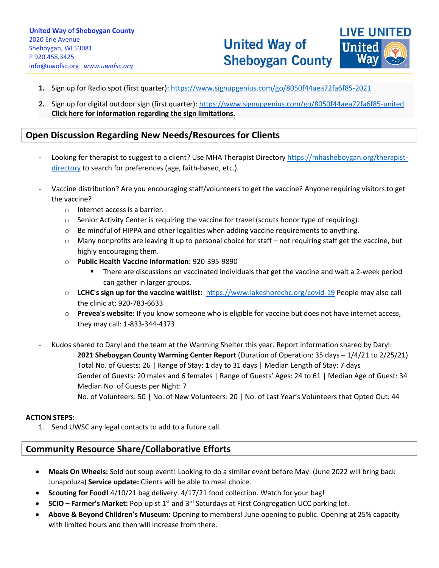

- **1.** Sign up for Radio spot (first quarter): <https://www.signupgenius.com/go/8050f44aea72fa6f85-2021>
- **2.** Sign up for digital outdoor sign (first quarter)[: https://www.signupgenius.com/go/8050f44aea72fa6f85-united](https://www.signupgenius.com/go/8050f44aea72fa6f85-united) **[Click here for information regarding the sign limitations.](https://uwofsc.org/assets/Uploads/Digital-Sign-Instructions.docx)**

\_\_\_\_\_\_\_\_\_\_\_\_\_\_\_\_\_\_\_\_\_\_\_\_\_\_\_\_\_\_\_\_\_\_\_\_\_\_\_\_\_\_\_\_\_\_\_\_\_\_\_\_\_\_\_\_\_\_\_\_\_\_\_\_\_\_\_\_\_\_\_\_\_\_\_\_\_\_\_\_\_\_\_\_\_\_\_\_\_\_\_\_\_\_\_\_\_\_\_\_\_\_\_\_\_\_\_\_\_\_\_\_\_\_\_\_\_\_\_\_\_\_\_\_\_\_\_\_\_\_\_\_\_\_\_\_\_\_\_\_\_\_\_\_\_\_\_\_\_\_\_\_\_\_\_\_\_\_\_\_\_\_\_\_\_\_\_\_\_\_\_\_\_\_\_\_\_\_\_\_\_\_\_\_\_\_\_\_\_\_\_\_\_\_\_\_\_\_\_\_\_\_\_\_\_\_\_\_\_\_\_\_\_\_\_\_\_\_\_\_\_\_\_\_\_\_\_\_\_\_\_\_\_\_\_\_\_\_\_\_\_\_\_\_\_\_\_\_\_\_\_\_\_\_\_\_\_\_\_\_\_\_\_\_\_\_\_\_\_\_\_

## **Open Discussion Regarding New Needs/Resources for Clients**

- Looking for therapist to suggest to a client? Use MHA Therapist Directory [https://mhasheboygan.org/therapist](https://mhasheboygan.org/therapist-directory)[directory](https://mhasheboygan.org/therapist-directory) to search for preferences (age, faith-based, etc.).
- Vaccine distribution? Are you encouraging staff/volunteers to get the vaccine? Anyone requiring visitors to get the vaccine?
	- o Internet access is a barrier.
	- o Senior Activity Center is requiring the vaccine for travel (scouts honor type of requiring).
	- $\circ$  Be mindful of HIPPA and other legalities when adding vaccine requirements to anything.
	- $\circ$  Many nonprofits are leaving it up to personal choice for staff not requiring staff get the vaccine, but highly encouraging them.
	- o **Public Health Vaccine information:** 920-395-9890
		- There are discussions on vaccinated individuals that get the vaccine and wait a 2-week period can gather in larger groups.
	- o **LCHC's sign up for the vaccine waitlist:**<https://www.lakeshorechc.org/covid-19> People may also call the clinic at: 920-783-6633
	- o **Prevea's website:** If you know someone who is eligible for vaccine but does not have internet access, they may call: 1-833-344-4373
- Kudos shared to Daryl and the team at the Warming Shelter this year. Report information shared by Daryl: **2021 Sheboygan County Warming Center Report** (Duration of Operation: 35 days – 1/4/21 to 2/25/21) Total No. of Guests: 26 | Range of Stay: 1 day to 31 days | Median Length of Stay: 7 days Gender of Guests: 20 males and 6 females | Range of Guests' Ages: 24 to 61 | Median Age of Guest: 34 Median No. of Guests per Night: 7 No. of Volunteers: 50 | No. of New Volunteers: 20 | No. of Last Year's Volunteers that Opted Out: 44

#### **ACTION STEPS:**

1. Send UWSC any legal contacts to add to a future call.

## **Community Resource Share/Collaborative Efforts**

- **Meals On Wheels:** Sold out soup event! Looking to do a similar event before May. (June 2022 will bring back Junapoluza) **Service update:** Clients will be able to meal choice.
- **Scouting for Food!** 4/10/21 bag delivery. 4/17/21 food collection. Watch for your bag!
- **SCIO – Farmer's Market:** Pop-up st 1st and 3rd Saturdays at First Congregation UCC parking lot.
- **Above & Beyond Children's Museum:** Opening to members! June opening to public. Opening at 25% capacity with limited hours and then will increase from there.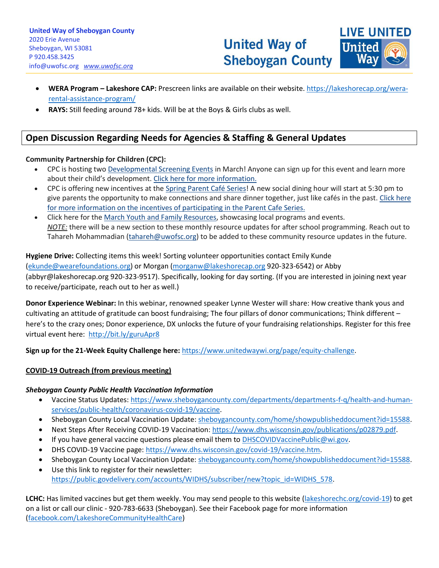

• **WERA Program – Lakeshore CAP:** Prescreen links are available on their website. [https://lakeshorecap.org/wera](https://lakeshorecap.org/wera-rental-assistance-program/)[rental-assistance-program/](https://lakeshorecap.org/wera-rental-assistance-program/)

\_\_\_\_\_\_\_\_\_\_\_\_\_\_\_\_\_\_\_\_\_\_\_\_\_\_\_\_\_\_\_\_\_\_\_\_\_\_\_\_\_\_\_\_\_\_\_\_\_\_\_\_\_\_\_\_\_\_\_\_\_\_\_\_\_\_\_\_\_\_\_\_\_\_\_\_\_\_\_\_\_\_\_\_\_\_\_\_\_\_\_\_\_\_\_\_\_\_\_\_\_\_\_\_\_\_\_\_\_\_\_\_\_\_\_\_\_\_\_\_\_\_\_\_\_\_\_\_\_\_\_\_\_\_\_\_\_\_\_\_\_\_\_\_\_\_\_\_\_\_\_\_\_\_\_\_\_\_\_\_\_\_\_\_\_\_\_\_\_\_\_\_\_\_\_\_\_\_\_\_\_\_\_\_\_\_\_\_\_\_\_\_\_\_\_\_\_\_\_\_\_\_\_\_\_\_\_\_\_\_\_\_\_\_\_\_\_\_\_\_\_\_\_\_\_\_\_\_\_\_\_\_\_\_\_\_\_\_\_\_\_\_\_\_\_\_\_\_\_\_\_\_\_\_\_\_\_\_\_\_\_\_\_\_\_\_\_\_\_\_\_

• **RAYS:** Still feeding around 78+ kids. Will be at the Boys & Girls clubs as well.

## **Open Discussion Regarding Needs for Agencies & Staffing & General Updates**

#### **Community Partnership for Children (CPC):**

- CPC is hosting two [Developmental Screening Events](https://uwofsc.org/assets/Uploads/March-2021.pdf) in March! Anyone can sign up for this event and learn more about their child's development. [Click here for more information.](https://uwofsc.org/assets/Uploads/March-2021.pdf)
- CPC is offering new incentives at the [Spring Parent Café Series!](https://uwofsc.org/assets/Uploads/Spring-2021.pdf) A new social dining hour will start at 5:30 pm to give parents the opportunity to make connections and share dinner together, just like cafés in the past. [Click here](https://uwofsc.org/assets/Uploads/Spring-2021.pdf)  [for more information on the incentives of participating in the Parent Cafe Series.](https://uwofsc.org/assets/Uploads/Spring-2021.pdf)
- Click here for the [March Youth and Family Resources,](https://uwofsc.org/assets/Uploads/Youth-and-Family-Resources-5.pdf) showcasing local programs and events. *NOTE:* there will be a new section to these monthly resource updates for after school programming. Reach out to Tahareh Mohammadian [\(tahareh@uwofsc.org\)](mailto:tahareh@uwofsc.org) to be added to these community resource updates in the future.

#### **Hygiene Drive:** Collecting items this week! Sorting volunteer opportunities contact Emily Kunde

[\(ekunde@wearefoundations.org\)](mailto:ekunde@wearefoundations.org) or Morgan [\(morganw@lakeshorecap.org](mailto:morganw@lakeshorecap.org) 920-323-6542) or Abby (abbyr@lakeshorecap.org 920-323-9517). Specifically, looking for day sorting. (If you are interested in joining next year to receive/participate, reach out to her as well.)

**Donor Experience Webinar:** In this webinar, renowned speaker Lynne Wester will share: How creative thank yous and cultivating an attitude of gratitude can boost fundraising; The four pillars of donor communications; Think different – here's to the crazy ones; Donor experience, DX unlocks the future of your fundraising relationships. Register for this free virtual event here: <http://bit.ly/guruApr8>

**Sign up for the 21-Week Equity Challenge here:** [https://www.unitedwaywi.org/page/equity-challenge.](https://www.unitedwaywi.org/page/equity-challenge)

## **COVID-19 Outreach (from previous meeting)**

#### *Sheboygan County Public Health Vaccination Information*

- Vaccine Status Updates: [https://www.sheboygancounty.com/departments/departments-f-q/health-and-human](https://www.sheboygancounty.com/departments/departments-f-q/health-and-human-services/public-health/coronavirus-covid-19/vaccine)[services/public-health/coronavirus-covid-19/vaccine.](https://www.sheboygancounty.com/departments/departments-f-q/health-and-human-services/public-health/coronavirus-covid-19/vaccine)
- Sheboygan County Local Vaccination Update[: sheboygancounty.com/home/showpublisheddocument?id=15588.](https://www.sheboygancounty.com/home/showpublisheddocument?id=15588)
- Next Steps After Receiving COVID-19 Vaccination: [https://www.dhs.wisconsin.gov/publications/p02879.pdf.](https://www.dhs.wisconsin.gov/publications/p02879.pdf)
- If you have general vaccine questions please email them to **DHSCOVIDVaccinePublic@wi.gov.**
- DHS COVID-19 Vaccine page: [https://www.dhs.wisconsin.gov/covid-19/vaccine.htm.](https://www.dhs.wisconsin.gov/covid-19/vaccine.htm)
- Sheboygan County Local Vaccination Update[: sheboygancounty.com/home/showpublisheddocument?id=15588.](https://www.sheboygancounty.com/home/showpublisheddocument?id=15588)
- Use this link to register for their newsletter: [https://public.govdelivery.com/accounts/WIDHS/subscriber/new?topic\\_id=WIDHS\\_578.](https://public.govdelivery.com/accounts/WIDHS/subscriber/new?topic_id=WIDHS_578)

**LCHC:** Has limited vaccines but get them weekly. You may send people to this website [\(lakeshorechc.org/covid-19\)](https://www.lakeshorechc.org/covid-19) to get on a list or call our clinic - 920-783-6633 (Sheboygan). See their Facebook page for more information [\(facebook.com/LakeshoreCommunityHealthCare\)](https://www.facebook.com/LakeshoreCommunityHealthCare)